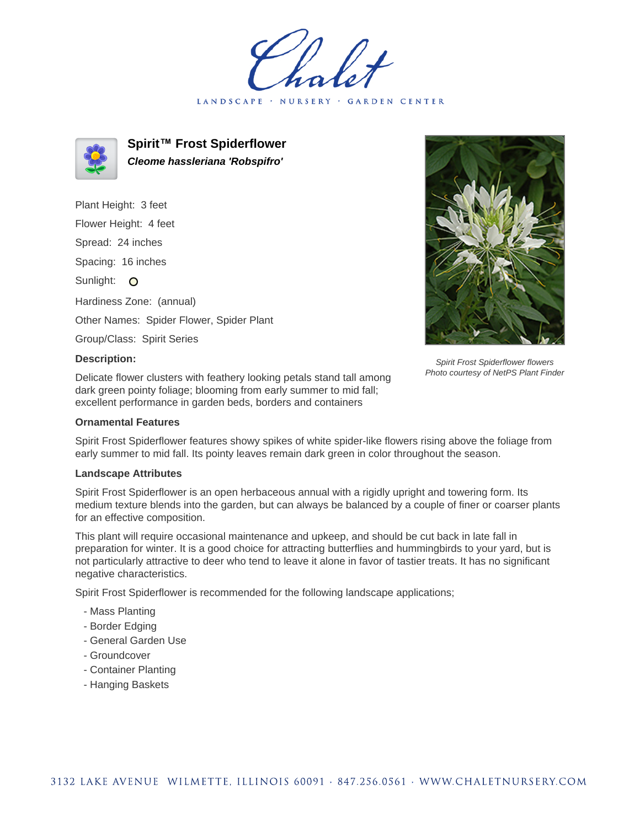LANDSCAPE · NURSERY GARDEN CENTER



**Spirit™ Frost Spiderflower Cleome hassleriana 'Robspifro'**

Plant Height: 3 feet Flower Height: 4 feet Spread: 24 inches Spacing: 16 inches Sunlight: O Hardiness Zone: (annual) Other Names: Spider Flower, Spider Plant Group/Class: Spirit Series

## **Description:**

Delicate flower clusters with feathery looking petals stand tall among dark green pointy foliage; blooming from early summer to mid fall; excellent performance in garden beds, borders and containers

## **Ornamental Features**

Spirit Frost Spiderflower features showy spikes of white spider-like flowers rising above the foliage from early summer to mid fall. Its pointy leaves remain dark green in color throughout the season.

## **Landscape Attributes**

Spirit Frost Spiderflower is an open herbaceous annual with a rigidly upright and towering form. Its medium texture blends into the garden, but can always be balanced by a couple of finer or coarser plants for an effective composition.

This plant will require occasional maintenance and upkeep, and should be cut back in late fall in preparation for winter. It is a good choice for attracting butterflies and hummingbirds to your yard, but is not particularly attractive to deer who tend to leave it alone in favor of tastier treats. It has no significant negative characteristics.

Spirit Frost Spiderflower is recommended for the following landscape applications;

- Mass Planting
- Border Edging
- General Garden Use
- Groundcover
- Container Planting
- Hanging Baskets



Spirit Frost Spiderflower flowers Photo courtesy of NetPS Plant Finder